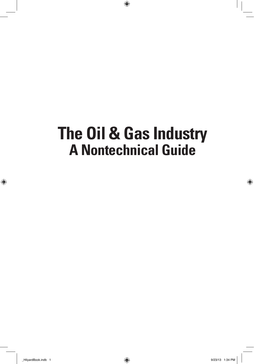# **The Oil & Gas Industry A Nontechnical Guide**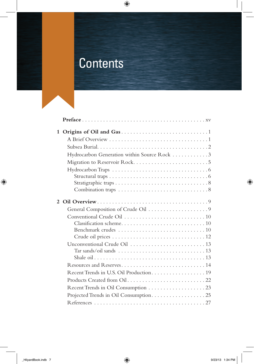## **Contents**

|   | Hydrocarbon Generation within Source Rock 3                                             |
|---|-----------------------------------------------------------------------------------------|
|   |                                                                                         |
|   |                                                                                         |
|   |                                                                                         |
|   |                                                                                         |
|   |                                                                                         |
| 2 |                                                                                         |
|   |                                                                                         |
|   |                                                                                         |
|   |                                                                                         |
|   |                                                                                         |
|   |                                                                                         |
|   |                                                                                         |
|   | Tar sands/oil sands $\ldots \ldots \ldots \ldots \ldots \ldots \ldots \ldots \ldots 13$ |
|   |                                                                                         |
|   | Resources and Reserves14                                                                |
|   | Recent Trends in U.S. Oil Production. 19                                                |
|   |                                                                                         |
|   |                                                                                         |
|   |                                                                                         |
|   |                                                                                         |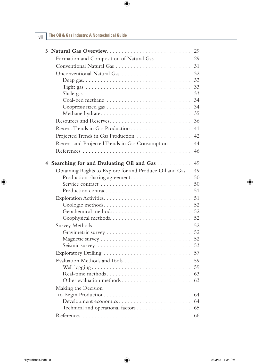| Formation and Composition of Natural Gas 29                 |
|-------------------------------------------------------------|
| Conventional Natural Gas 31                                 |
| Unconventional Natural Gas 32                               |
|                                                             |
|                                                             |
|                                                             |
| Coal-bed methane 34                                         |
|                                                             |
|                                                             |
| Resources and Reserves36                                    |
|                                                             |
| Projected Trends in Gas Production  42                      |
| Recent and Projected Trends in Gas Consumption 44           |
|                                                             |
|                                                             |
| 4 Searching for and Evaluating Oil and Gas 49               |
| Obtaining Rights to Explore for and Produce Oil and Gas. 49 |
|                                                             |
|                                                             |
|                                                             |
|                                                             |
| Geochemical methods52                                       |
|                                                             |
|                                                             |
|                                                             |
|                                                             |
|                                                             |
|                                                             |
|                                                             |
|                                                             |
|                                                             |
|                                                             |
| Making the Decision                                         |
|                                                             |
|                                                             |
|                                                             |
|                                                             |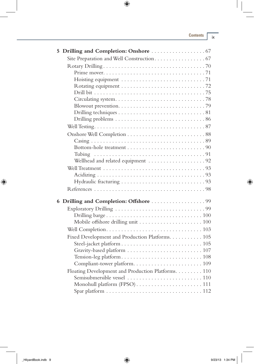| 5 |                                                    |
|---|----------------------------------------------------|
|   |                                                    |
|   |                                                    |
|   |                                                    |
|   |                                                    |
|   |                                                    |
|   |                                                    |
|   |                                                    |
|   |                                                    |
|   |                                                    |
|   |                                                    |
|   |                                                    |
|   |                                                    |
|   |                                                    |
|   |                                                    |
|   |                                                    |
|   | Wellhead and related equipment 92                  |
|   |                                                    |
|   |                                                    |
|   |                                                    |
|   |                                                    |
|   | 6 Drilling and Completion: Offshore 99             |
|   |                                                    |
|   |                                                    |
|   |                                                    |
|   |                                                    |
|   | Fixed Development and Production Platforms. 105    |
|   |                                                    |
|   |                                                    |
|   |                                                    |
|   |                                                    |
|   | Floating Development and Production Platforms. 110 |
|   |                                                    |
|   |                                                    |
|   |                                                    |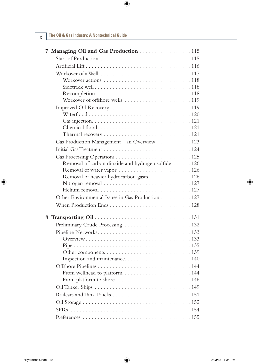|   | 7 Managing Oil and Gas Production  115                                                   |
|---|------------------------------------------------------------------------------------------|
|   |                                                                                          |
|   |                                                                                          |
|   |                                                                                          |
|   |                                                                                          |
|   |                                                                                          |
|   |                                                                                          |
|   |                                                                                          |
|   |                                                                                          |
|   |                                                                                          |
|   |                                                                                          |
|   |                                                                                          |
|   | Thermal recovery $\dots \dots \dots \dots \dots \dots \dots \dots \dots \dots \dots 121$ |
|   | Gas Production Management-an Overview  123                                               |
|   |                                                                                          |
|   |                                                                                          |
|   | Removal of carbon dioxide and hydrogen sulfide 126                                       |
|   | Removal of water vapor  126                                                              |
|   | Removal of heavier hydrocarbon gases 126                                                 |
|   |                                                                                          |
|   |                                                                                          |
|   | Other Environmental Issues in Gas Production 127                                         |
|   |                                                                                          |
| 8 |                                                                                          |
|   | Preliminary Crude Processing  132                                                        |
|   |                                                                                          |
|   |                                                                                          |
|   |                                                                                          |
|   |                                                                                          |
|   | Inspection and maintenance 140                                                           |
|   |                                                                                          |
|   | From wellhead to platform  144                                                           |
|   |                                                                                          |
|   |                                                                                          |
|   |                                                                                          |
|   |                                                                                          |
|   |                                                                                          |
|   |                                                                                          |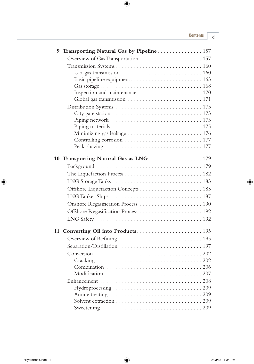| 9 Transporting Natural Gas by Pipeline157 |
|-------------------------------------------|
|                                           |
|                                           |
|                                           |
|                                           |
|                                           |
|                                           |
|                                           |
|                                           |
|                                           |
|                                           |
|                                           |
|                                           |
|                                           |
|                                           |
| 10 Transporting Natural Gas as LNG.  179  |
|                                           |
|                                           |
|                                           |
|                                           |
|                                           |
|                                           |
|                                           |
|                                           |
|                                           |
|                                           |
|                                           |
|                                           |
|                                           |
|                                           |
|                                           |
|                                           |
|                                           |
|                                           |
|                                           |
|                                           |
|                                           |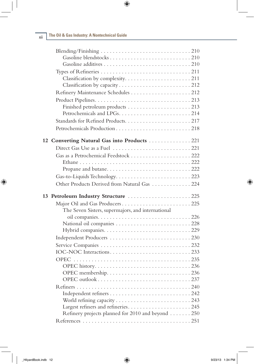| Classification by complexity211                   |  |
|---------------------------------------------------|--|
|                                                   |  |
|                                                   |  |
|                                                   |  |
|                                                   |  |
|                                                   |  |
|                                                   |  |
| Petrochemicals Production218                      |  |
| 12 Converting Natural Gas into Products  221      |  |
|                                                   |  |
|                                                   |  |
|                                                   |  |
|                                                   |  |
|                                                   |  |
|                                                   |  |
| Other Products Derived from Natural Gas  224      |  |
| 13 Petroleum Industry Structure  225              |  |
|                                                   |  |
| The Seven Sisters, supermajors, and international |  |
|                                                   |  |
|                                                   |  |
|                                                   |  |
|                                                   |  |
|                                                   |  |
|                                                   |  |
|                                                   |  |
|                                                   |  |
|                                                   |  |
|                                                   |  |
|                                                   |  |
|                                                   |  |
|                                                   |  |
|                                                   |  |
| Refinery projects planned for 2010 and beyond 250 |  |
|                                                   |  |
|                                                   |  |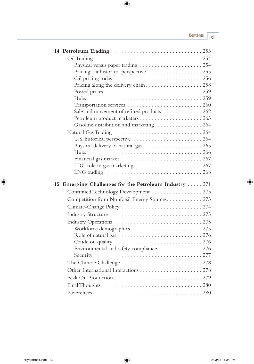| Pricing—a historical perspective  255                                                                  |  |
|--------------------------------------------------------------------------------------------------------|--|
|                                                                                                        |  |
|                                                                                                        |  |
|                                                                                                        |  |
|                                                                                                        |  |
|                                                                                                        |  |
| Sale and movement of refined products  262                                                             |  |
| Petroleum product marketers263<br>Gasoline distribution and marketing264                               |  |
|                                                                                                        |  |
| U.S. historical perspective  264                                                                       |  |
|                                                                                                        |  |
|                                                                                                        |  |
|                                                                                                        |  |
|                                                                                                        |  |
| LNG trading. $\ldots \ldots \ldots \ldots \ldots \ldots \ldots \ldots \ldots \ldots \ldots \ldots 268$ |  |
|                                                                                                        |  |
|                                                                                                        |  |
| 15 Emerging Challenges for the Petroleum Industry  271                                                 |  |
| Continued Technology Development 273                                                                   |  |
| Competition from Nonfossil Energy Sources. 273                                                         |  |
|                                                                                                        |  |
|                                                                                                        |  |
|                                                                                                        |  |
| Workforce demographics275                                                                              |  |
|                                                                                                        |  |
|                                                                                                        |  |
| Environmental and safety compliance276                                                                 |  |
|                                                                                                        |  |
|                                                                                                        |  |
|                                                                                                        |  |
|                                                                                                        |  |
|                                                                                                        |  |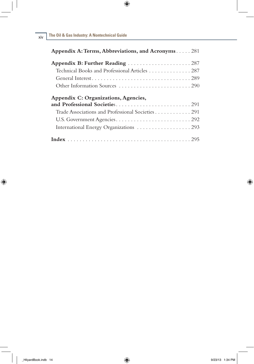| Appendix B: Further Reading 287                   |
|---------------------------------------------------|
| Technical Books and Professional Articles 287     |
|                                                   |
|                                                   |
| Appendix C: Organizations, Agencies,              |
|                                                   |
|                                                   |
| Trade Associations and Professional Societies 291 |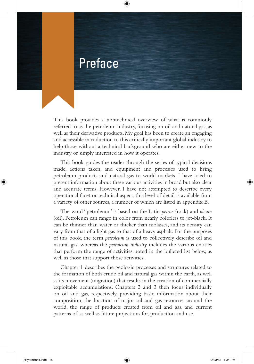### Preface

This book provides a nontechnical overview of what is commonly referred to as the petroleum industry, focusing on oil and natural gas, as well as their derivative products. My goal has been to create an engaging and accessible introduction to this critically important global industry to help those without a technical background who are either new to the industry or simply interested in how it operates.

This book guides the reader through the series of typical decisions made, actions taken, and equipment and processes used to bring petroleum products and natural gas to world markets. I have tried to present information about these various activities in broad but also clear and accurate terms. However, I have not attempted to describe every operational facet or technical aspect; this level of detail is available from a variety of other sources, a number of which are listed in appendix B.

The word "petroleum" is based on the Latin *petrus* (rock) and *oleum* (oil). Petroleum can range in color from nearly colorless to jet-black. It can be thinner than water or thicker than molasses, and its density can vary from that of a light gas to that of a heavy asphalt. For the purposes of this book, the term *petroleum* is used to collectively describe oil and natural gas, whereas the *petroleum industry* includes the various entities that perform the range of activities noted in the bulleted list below, as well as those that support those activities.

Chapter 1 describes the geologic processes and structures related to the formation of both crude oil and natural gas within the earth, as well as its movement (migration) that results in the creation of commercially exploitable accumulations. Chapters 2 and 3 then focus individually on oil and gas, respectively, providing basic information about their composition, the location of major oil and gas resources around the world, the range of products created from oil and gas, and current patterns of, as well as future projections for, production and use.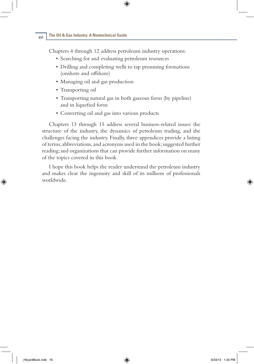Chapters 4 through 12 address petroleum industry operations:

- Searching for and evaluating petroleum resources
- Drilling and completing wells to tap promising formations (onshore and offshore)
- Managing oil and gas production
- Transporting oil
- Transporting natural gas in both gaseous form (by pipeline) and in liquefied form
- Converting oil and gas into various products

Chapters 13 through 15 address several business-related issues: the structure of the industry, the dynamics of petroleum trading, and the challenges facing the industry. Finally, three appendices provide a listing of terms, abbreviations, and acronyms used in the book; suggested further reading; and organizations that can provide further information on many of the topics covered in this book.

I hope this book helps the reader understand the petroleum industry and makes clear the ingenuity and skill of its millions of professionals worldwide.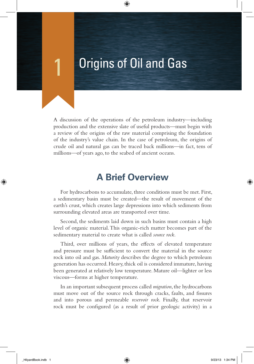## Origins of Oil and Gas

1

A discussion of the operations of the petroleum industry—including production and the extensive slate of useful products—must begin with a review of the origins of the raw material comprising the foundation of the industry's value chain. In the case of petroleum, the origins of crude oil and natural gas can be traced back millions—in fact, tens of millions—of years ago, to the seabed of ancient oceans.

#### **A Brief Overview**

For hydrocarbons to accumulate, three conditions must be met. First, a sedimentary basin must be created—the result of movement of the earth's crust, which creates large depressions into which sediments from surrounding elevated areas are transported over time.

Second, the sediments laid down in such basins must contain a high level of organic material. This organic-rich matter becomes part of the sedimentary material to create what is called *source rock*.

Third, over millions of years, the effects of elevated temperature and pressure must be sufficient to convert the material in the source rock into oil and gas. *Maturity* describes the degree to which petroleum generation has occurred. Heavy, thick oil is considered immature, having been generated at relatively low temperature. Mature oil—lighter or less viscous—forms at higher temperature.

In an important subsequent process called *migration*, the hydrocarbons must move out of the source rock through cracks, faults, and fissures and into porous and permeable *reservoir rock*. Finally, that reservoir rock must be configured (as a result of prior geologic activity) in a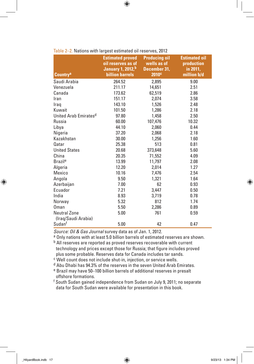| Country <sup>a</sup>              | <b>Estimated proved</b><br>oil reserves as of<br><b>January 1, 2012, b</b><br><b>billion barrels</b> | <b>Producing oil</b><br>wells as of<br>December 31,<br>2010 <sup>c</sup> | <b>Estimated oil</b><br>production<br>in 2011,<br>million b/d |
|-----------------------------------|------------------------------------------------------------------------------------------------------|--------------------------------------------------------------------------|---------------------------------------------------------------|
| Saudi Arabia                      | 264.52                                                                                               | 2,895                                                                    | 9.00                                                          |
| Venezuela                         | 211.17                                                                                               | 14,651                                                                   | 2.51                                                          |
| Canada                            | 173.62                                                                                               | 62,519                                                                   | 2.86                                                          |
| Iran                              | 151.17                                                                                               | 2,074                                                                    | 3.58                                                          |
| Iraq                              | 143.10                                                                                               | 1,526                                                                    | 2.48                                                          |
| Kuwait                            | 101.50                                                                                               | 1,286                                                                    | 2.18                                                          |
| United Arab Emirates <sup>d</sup> | 97.80                                                                                                | 1,458                                                                    | 2.50                                                          |
| Russia                            | 60.00                                                                                                | 107,476                                                                  | 10.32                                                         |
| Libya                             | 44.10                                                                                                | 2,060                                                                    | 0.44                                                          |
| Nigeria                           | 37.20                                                                                                | 2,068                                                                    | 2.18                                                          |
| Kazakhstan                        | 30.00                                                                                                | 1,256                                                                    | 1.60                                                          |
| <b>Qatar</b>                      | 25.38                                                                                                | 513                                                                      | 0.81                                                          |
| <b>United States</b>              | 20.68                                                                                                | 373,648                                                                  | 5.60                                                          |
| China                             | 20.35                                                                                                | 71,552                                                                   | 4.09                                                          |
| <b>Brazil<sup>e</sup></b>         | 13.99                                                                                                | 11,797                                                                   | 2.08                                                          |
| Algeria                           | 12.20                                                                                                | 2,014                                                                    | 1.27                                                          |
| Mexico                            | 10.16                                                                                                | 7,476                                                                    | 2.54                                                          |
| Angola                            | 9.50                                                                                                 | 1,321                                                                    | 1.64                                                          |
| Azerbaijan                        | 7.00                                                                                                 | 62                                                                       | 0.93                                                          |
| Ecuador                           | 7.21                                                                                                 | 3,447                                                                    | 0.50                                                          |
| India                             | 8.93                                                                                                 | 3,719                                                                    | 0.78                                                          |
| Norway                            | 5.32                                                                                                 | 812                                                                      | 1.74                                                          |
| Oman                              | 5.50                                                                                                 | 2,286                                                                    | 0.89                                                          |
| <b>Neutral Zone</b>               | 5.00                                                                                                 | 761                                                                      | 0.59                                                          |
| (Iraq/Saudi Arabia)               |                                                                                                      |                                                                          |                                                               |
| Sudan <sup>t</sup>                | 5.00                                                                                                 | 42                                                                       | 0.47                                                          |

#### Table 2–2. Nations with largest estimated oil reserves, 2012

*Source: Oil & Gas Journal* survey data as of Jan. 1, 2012.<br><sup>a</sup> Only nations with at least 5.0 billion barrels of estimated reserves are shown.

b All reserves are reported as proved reserves recoverable with current technology and prices except those for Russia; that figure includes proved plus some probable. Reserves data for Canada includes tar sands.

c Well count does not include shut-in, injection, or service wells.

d Abu Dhabi has 94.3% of the reserves in the seven United Arab Emirates.

e Brazil may have 50–100 billion barrels of additional reserves in presalt offshore formations.

<sup>f</sup> South Sudan gained independence from Sudan on July 9, 2011; no separate data for South Sudan were available for presentation in this book.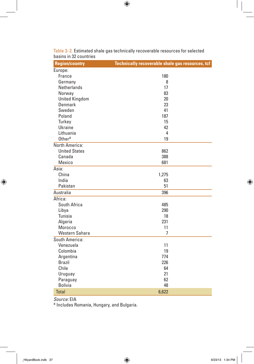| <b>Region/country</b> | Technically recoverable shale gas resources, tcf |
|-----------------------|--------------------------------------------------|
| Europe:               |                                                  |
| France                | 180                                              |
| Germany               | 8                                                |
| Netherlands           | 17                                               |
| Norway                | 83                                               |
| <b>United Kingdom</b> | 20                                               |
| <b>Denmark</b>        | 23                                               |
| Sweden                | 41                                               |
| Poland                | 187                                              |
| Turkey                | 15                                               |
| <b>Ukraine</b>        | 42                                               |
| Lithuania             | 4                                                |
| Other <sup>a</sup>    | 19                                               |
| North America:        |                                                  |
| <b>United States</b>  | 862                                              |
| Canada                | 388                                              |
| Mexico                | 681                                              |
| Asia:                 |                                                  |
| China                 | 1,275                                            |
| India                 | 63                                               |
| Pakistan              | 51                                               |
| Australia             | 396                                              |
| Africa:               |                                                  |
| South Africa          | 485                                              |
| Libya                 | 290                                              |
| Tunisia               | 18                                               |
| Algeria               | 231                                              |
| Morocco               | 11                                               |
| Western Sahara        | $\overline{1}$                                   |
| South America:        |                                                  |
| Venezuela             | 11                                               |
| Colombia              | 19                                               |
| Argentina             | 774                                              |
| <b>Brazil</b>         | 226                                              |
| Chile                 | 64                                               |
| Uruguay               | 21                                               |
| Paraguay              | 62                                               |
| <b>Bolivia</b>        | 48                                               |
| <b>Total</b>          | 6,622                                            |

Table 3–2. Estimated shale gas technically recoverable resources for selected basins in 32 countries

*Source:* EIA<br><sup>a</sup> Includes Romania, Hungary, and Bulgaria.